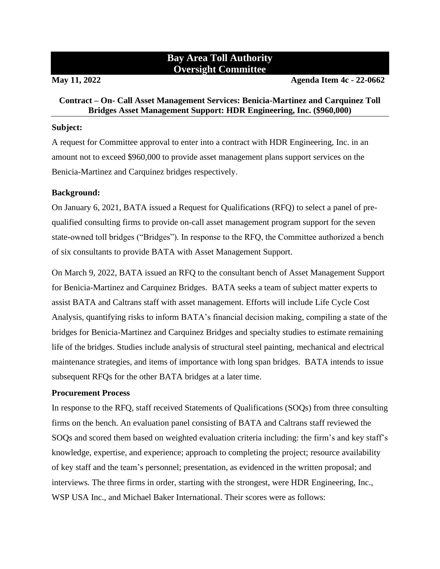# **Bay Area Toll Authority Oversight Committee**

**May 11, 2022 Agenda Item 4c - 22-0662**

## **Contract – On- Call Asset Management Services: Benicia-Martinez and Carquinez Toll Bridges Asset Management Support: HDR Engineering, Inc. (\$960,000)**

#### **Subject:**

A request for Committee approval to enter into a contract with HDR Engineering, Inc. in an amount not to exceed \$960,000 to provide asset management plans support services on the Benicia-Martinez and Carquinez bridges respectively.

## **Background:**

On January 6, 2021, BATA issued a Request for Qualifications (RFQ) to select a panel of prequalified consulting firms to provide on-call asset management program support for the seven state-owned toll bridges ("Bridges"). In response to the RFQ, the Committee authorized a bench of six consultants to provide BATA with Asset Management Support.

On March 9, 2022, BATA issued an RFQ to the consultant bench of Asset Management Support for Benicia-Martinez and Carquinez Bridges. BATA seeks a team of subject matter experts to assist BATA and Caltrans staff with asset management. Efforts will include Life Cycle Cost Analysis, quantifying risks to inform BATA's financial decision making, compiling a state of the bridges for Benicia-Martinez and Carquinez Bridges and specialty studies to estimate remaining life of the bridges. Studies include analysis of structural steel painting, mechanical and electrical maintenance strategies, and items of importance with long span bridges. BATA intends to issue subsequent RFQs for the other BATA bridges at a later time.

## **Procurement Process**

In response to the RFQ, staff received Statements of Qualifications (SOQs) from three consulting firms on the bench. An evaluation panel consisting of BATA and Caltrans staff reviewed the SOQs and scored them based on weighted evaluation criteria including: the firm's and key staff's knowledge, expertise, and experience; approach to completing the project; resource availability of key staff and the team's personnel; presentation, as evidenced in the written proposal; and interviews. The three firms in order, starting with the strongest, were HDR Engineering, Inc., WSP USA Inc., and Michael Baker International. Their scores were as follows: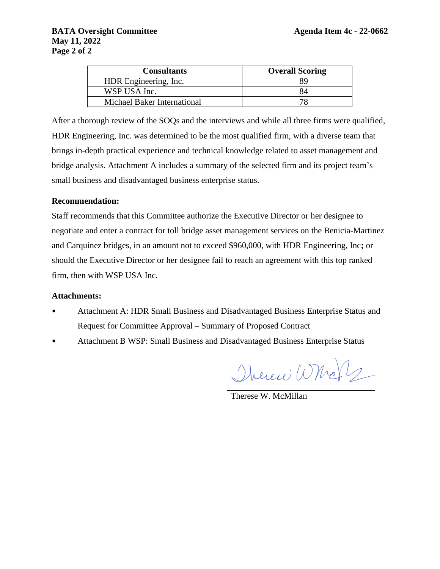| <b>Consultants</b>          | <b>Overall Scoring</b> |
|-----------------------------|------------------------|
| HDR Engineering, Inc.       | 80                     |
| WSP USA Inc.                |                        |
| Michael Baker International |                        |

After a thorough review of the SOQs and the interviews and while all three firms were qualified, HDR Engineering, Inc. was determined to be the most qualified firm, with a diverse team that brings in-depth practical experience and technical knowledge related to asset management and bridge analysis. Attachment A includes a summary of the selected firm and its project team's small business and disadvantaged business enterprise status.

#### **Recommendation:**

Staff recommends that this Committee authorize the Executive Director or her designee to negotiate and enter a contract for toll bridge asset management services on the Benicia-Martinez and Carquinez bridges, in an amount not to exceed \$960,000, with HDR Engineering, Inc**;** or should the Executive Director or her designee fail to reach an agreement with this top ranked firm, then with WSP USA Inc.

#### **Attachments:**

- Attachment A: HDR Small Business and Disadvantaged Business Enterprise Status and Request for Committee Approval – Summary of Proposed Contract
- Attachment B WSP: Small Business and Disadvantaged Business Enterprise Status

Therene Wholz

Therese W. McMillan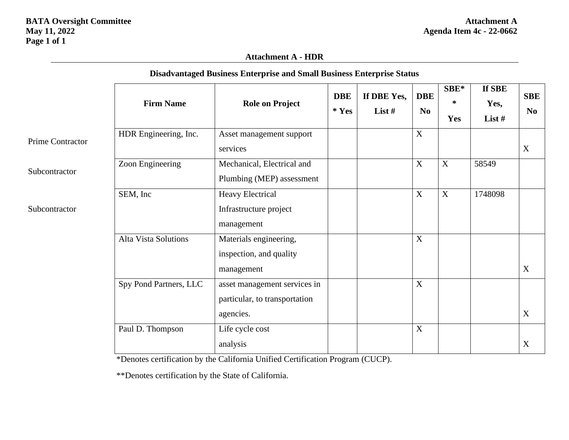## **Attachment A - HDR**

|  | Disadvantaged Business Enterprise and Small Business Enterprise Status |
|--|------------------------------------------------------------------------|
|  |                                                                        |

|                         | <b>Firm Name</b>       | <b>Role on Project</b>                                                     | <b>DBE</b><br>$*$ Yes | If DBE Yes,<br>List $#$ | <b>DBE</b><br>N <sub>0</sub> | $SBE*$<br>∗<br>Yes | If SBE<br>Yes,<br>List $#$ | <b>SBE</b><br>N <sub>0</sub> |
|-------------------------|------------------------|----------------------------------------------------------------------------|-----------------------|-------------------------|------------------------------|--------------------|----------------------------|------------------------------|
| <b>Prime Contractor</b> | HDR Engineering, Inc.  | Asset management support<br>services                                       |                       |                         | $\boldsymbol{X}$             |                    |                            | X                            |
| Subcontractor           | Zoon Engineering       | Mechanical, Electrical and<br>Plumbing (MEP) assessment                    |                       |                         | X                            | X                  | 58549                      |                              |
| Subcontractor           | SEM, Inc               | <b>Heavy Electrical</b><br>Infrastructure project<br>management            |                       |                         | X                            | $\boldsymbol{X}$   | 1748098                    |                              |
|                         | Alta Vista Solutions   | Materials engineering,<br>inspection, and quality<br>management            |                       |                         | X                            |                    |                            | X                            |
|                         | Spy Pond Partners, LLC | asset management services in<br>particular, to transportation<br>agencies. |                       |                         | $\boldsymbol{X}$             |                    |                            | $\mathbf X$                  |
|                         | Paul D. Thompson       | Life cycle cost<br>analysis                                                |                       |                         | $\mathbf X$                  |                    |                            | X                            |

\*Denotes certification by the California Unified Certification Program (CUCP).

\*\*Denotes certification by the State of California.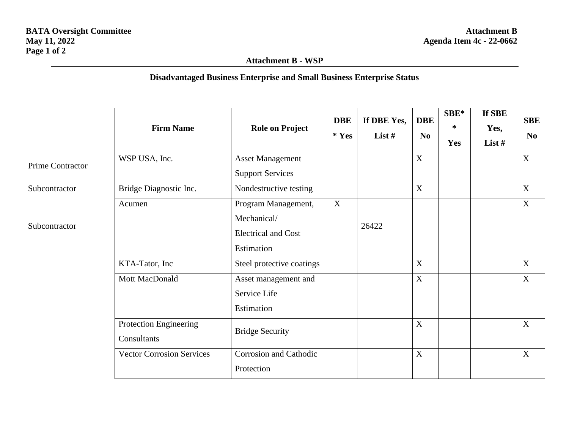# **Attachment B - WSP**

## **Disadvantaged Business Enterprise and Small Business Enterprise Status**

|                         | <b>Firm Name</b>                      | <b>Role on Project</b>                                                         | <b>DBE</b><br>$*$ Yes | If DBE Yes,<br>List # | <b>DBE</b><br>N <sub>0</sub> | $SBE*$<br>$\ast$<br>Yes | If SBE<br>Yes,<br>List # | <b>SBE</b><br>N <sub>0</sub> |
|-------------------------|---------------------------------------|--------------------------------------------------------------------------------|-----------------------|-----------------------|------------------------------|-------------------------|--------------------------|------------------------------|
| <b>Prime Contractor</b> | WSP USA, Inc.                         | <b>Asset Management</b><br><b>Support Services</b>                             |                       |                       | $\boldsymbol{X}$             |                         |                          | $\mathbf X$                  |
| Subcontractor           | Bridge Diagnostic Inc.                | Nondestructive testing                                                         |                       |                       | $\boldsymbol{X}$             |                         |                          | $\mathbf X$                  |
| Subcontractor           | Acumen                                | Program Management,<br>Mechanical/<br><b>Electrical and Cost</b><br>Estimation | X                     | 26422                 |                              |                         |                          | $\mathbf X$                  |
|                         | KTA-Tator, Inc                        | Steel protective coatings                                                      |                       |                       | X                            |                         |                          | $\mathbf X$                  |
|                         | Mott MacDonald                        | Asset management and<br>Service Life<br>Estimation                             |                       |                       | $\mathbf X$                  |                         |                          | $\mathbf X$                  |
|                         | Protection Engineering<br>Consultants | <b>Bridge Security</b>                                                         |                       |                       | $\mathbf X$                  |                         |                          | X                            |
|                         | <b>Vector Corrosion Services</b>      | Corrosion and Cathodic<br>Protection                                           |                       |                       | $\mathbf X$                  |                         |                          | $\mathbf X$                  |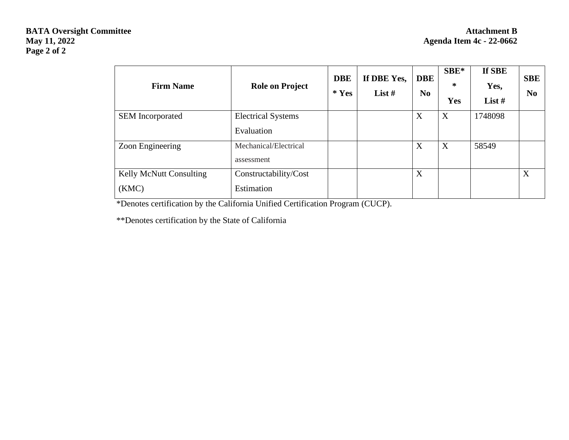| <b>Firm Name</b>                        | <b>Role on Project</b>                  | <b>DBE</b><br>$*$ Yes | If DBE Yes,<br>List $#$ | <b>DBE</b><br>N <sub>0</sub> | SBE*<br>$\ast$<br>Yes | If SBE<br>Yes,<br>List $#$ | <b>SBE</b><br>N <sub>0</sub> |
|-----------------------------------------|-----------------------------------------|-----------------------|-------------------------|------------------------------|-----------------------|----------------------------|------------------------------|
| <b>SEM</b> Incorporated                 | <b>Electrical Systems</b><br>Evaluation |                       |                         | X                            | X                     | 1748098                    |                              |
| Zoon Engineering                        | Mechanical/Electrical<br>assessment     |                       |                         | X                            | X                     | 58549                      |                              |
| <b>Kelly McNutt Consulting</b><br>(KMC) | Constructability/Cost<br>Estimation     |                       |                         | X                            |                       |                            | X                            |

\*Denotes certification by the California Unified Certification Program (CUCP).

\*\*Denotes certification by the State of California